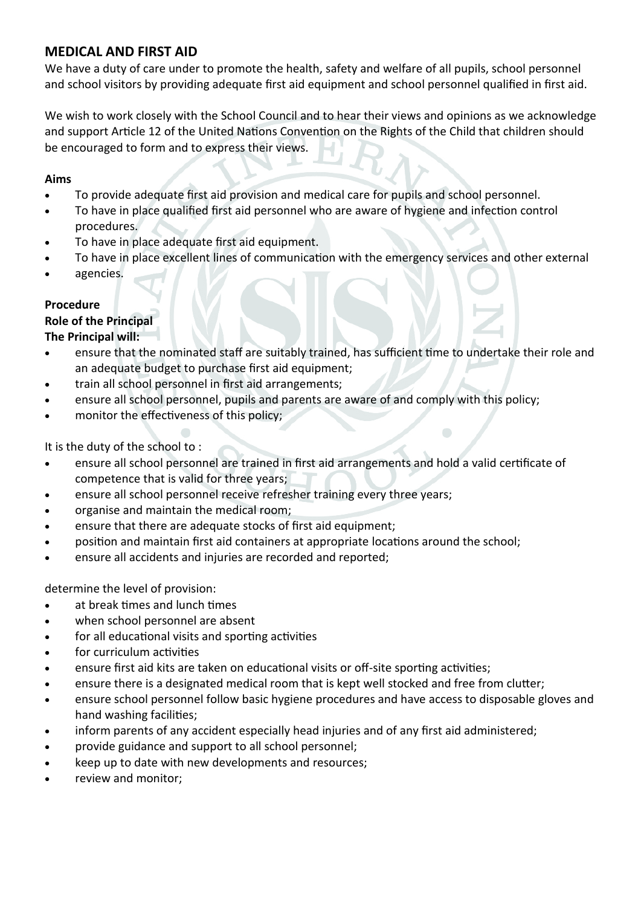# **MEDICAL AND FIRST AID**

We have a duty of care under to promote the health, safety and welfare of all pupils, school personnel and school visitors by providing adequate first aid equipment and school personnel qualified in first aid.

We wish to work closely with the School Council and to hear their views and opinions as we acknowledge and support Article 12 of the United Nations Convention on the Rights of the Child that children should be encouraged to form and to express their views.

### **Aims**

- To provide adequate first aid provision and medical care for pupils and school personnel.
- To have in place qualified first aid personnel who are aware of hygiene and infection control procedures.
- To have in place adequate first aid equipment.
- To have in place excellent lines of communication with the emergency services and other external
- agencies.

# **Procedure**

# **Role of the Principal**

## **The Principal will:**

- ensure that the nominated staff are suitably trained, has sufficient time to undertake their role and an adequate budget to purchase first aid equipment;
- train all school personnel in first aid arrangements;
- ensure all school personnel, pupils and parents are aware of and comply with this policy;
- monitor the effectiveness of this policy;

It is the duty of the school to :

- ensure all school personnel are trained in first aid arrangements and hold a valid certificate of competence that is valid for three years;
- ensure all school personnel receive refresher training every three years;
- organise and maintain the medical room;
- ensure that there are adequate stocks of first aid equipment;
- position and maintain first aid containers at appropriate locations around the school;
- ensure all accidents and injuries are recorded and reported;

determine the level of provision:

- at break times and lunch times
- when school personnel are absent
- for all educational visits and sporting activities
- for curriculum activities
- ensure first aid kits are taken on educational visits or off-site sporting activities;
- ensure there is a designated medical room that is kept well stocked and free from clutter;
- ensure school personnel follow basic hygiene procedures and have access to disposable gloves and hand washing facilities;
- inform parents of any accident especially head injuries and of any first aid administered;
- provide guidance and support to all school personnel;
- keep up to date with new developments and resources;
- review and monitor;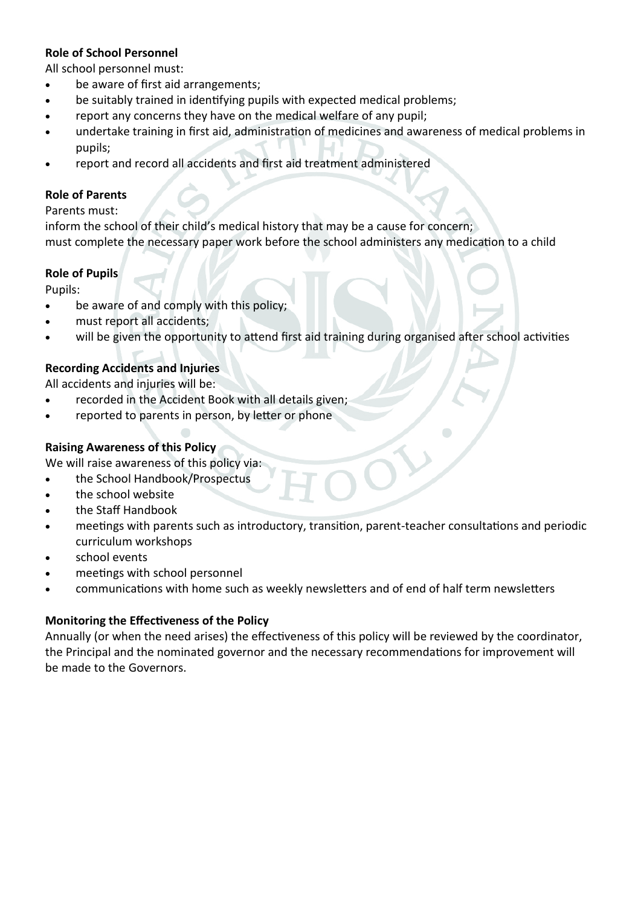#### **Role of School Personnel**

All school personnel must:

- be aware of first aid arrangements;
- be suitably trained in identifying pupils with expected medical problems;
- report any concerns they have on the medical welfare of any pupil;
- undertake training in first aid, administration of medicines and awareness of medical problems in pupils;
- report and record all accidents and first aid treatment administered

#### **Role of Parents**

#### Parents must:

inform the school of their child's medical history that may be a cause for concern; must complete the necessary paper work before the school administers any medication to a child

#### **Role of Pupils**

Pupils:

- be aware of and comply with this policy;
- must report all accidents;
- will be given the opportunity to attend first aid training during organised after school activities

#### **Recording Accidents and Injuries**

All accidents and injuries will be:

- recorded in the Accident Book with all details given;
- reported to parents in person, by letter or phone

#### **Raising Awareness of this Policy**

We will raise awareness of this policy via:

- the School Handbook/Prospectus
- the school website
- the Staff Handbook
- meetings with parents such as introductory, transition, parent-teacher consultations and periodic curriculum workshops
- school events
- meetings with school personnel
- communications with home such as weekly newsletters and of end of half term newsletters

#### **Monitoring the Effectiveness of the Policy**

Annually (or when the need arises) the effectiveness of this policy will be reviewed by the coordinator, the Principal and the nominated governor and the necessary recommendations for improvement will be made to the Governors.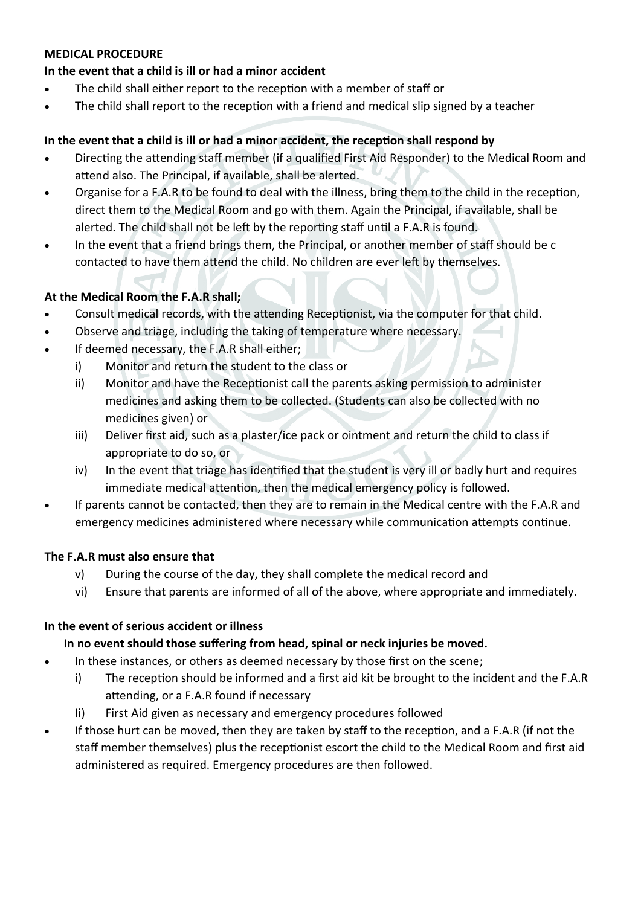## **MEDICAL PROCEDURE**

## **In the event that a child is ill or had a minor accident**

- The child shall either report to the reception with a member of staff or
- The child shall report to the reception with a friend and medical slip signed by a teacher

## **In the event that a child is ill or had a minor accident, the reception shall respond by**

- Directing the attending staff member (if a qualified First Aid Responder) to the Medical Room and attend also. The Principal, if available, shall be alerted.
- Organise for a F.A.R to be found to deal with the illness, bring them to the child in the reception, direct them to the Medical Room and go with them. Again the Principal, if available, shall be alerted. The child shall not be left by the reporting staff until a F.A.R is found.
- In the event that a friend brings them, the Principal, or another member of staff should be c contacted to have them attend the child. No children are ever left by themselves.

# **At the Medical Room the F.A.R shall;**

- Consult medical records, with the attending Receptionist, via the computer for that child.
- Observe and triage, including the taking of temperature where necessary.
- If deemed necessary, the F.A.R shall either;
	- i) Monitor and return the student to the class or
	- ii) Monitor and have the Receptionist call the parents asking permission to administer medicines and asking them to be collected. (Students can also be collected with no medicines given) or
	- iii) Deliver first aid, such as a plaster/ice pack or ointment and return the child to class if appropriate to do so, or
	- iv) In the event that triage has identified that the student is very ill or badly hurt and requires immediate medical attention, then the medical emergency policy is followed.
- If parents cannot be contacted, then they are to remain in the Medical centre with the F.A.R and emergency medicines administered where necessary while communication attempts continue.

### **The F.A.R must also ensure that**

- v) During the course of the day, they shall complete the medical record and
- vi) Ensure that parents are informed of all of the above, where appropriate and immediately.

### **In the event of serious accident or illness**

### **In no event should those suffering from head, spinal or neck injuries be moved.**

- In these instances, or others as deemed necessary by those first on the scene;
	- i) The reception should be informed and a first aid kit be brought to the incident and the F.A.R attending, or a F.A.R found if necessary
	- Ii) First Aid given as necessary and emergency procedures followed
- If those hurt can be moved, then they are taken by staff to the reception, and a F.A.R (if not the staff member themselves) plus the receptionist escort the child to the Medical Room and first aid administered as required. Emergency procedures are then followed.